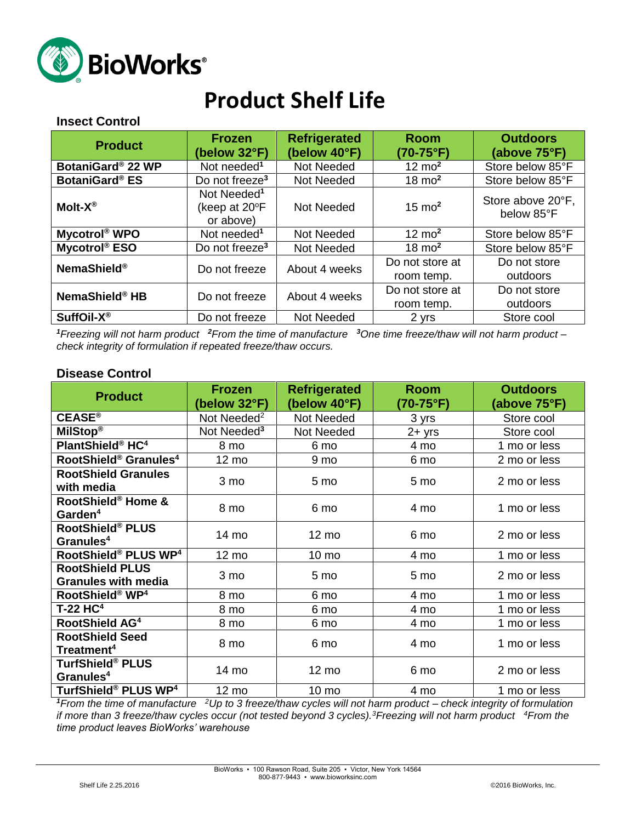

# **Product Shelf Life**

#### **Insect Control**

| <b>Product</b>             | <b>Frozen</b><br>(below 32°F)                         | <b>Refrigerated</b><br>(below 40°F) | <b>Room</b><br>(70-75°F)      | <b>Outdoors</b><br>(above 75°F) |
|----------------------------|-------------------------------------------------------|-------------------------------------|-------------------------------|---------------------------------|
| BotaniGard® 22 WP          | Not needed <sup>1</sup>                               | Not Needed                          | $12 \text{ mo}^2$             | Store below 85°F                |
| <b>BotaniGard® ES</b>      | Do not freeze <sup>3</sup>                            | Not Needed                          | $18 \text{ mo}^2$             | Store below 85°F                |
| Molt- $X^{\circledR}$      | Not Needed <sup>1</sup><br>(keep at 20°F<br>or above) | Not Needed                          | $15 \text{ mo}^2$             | Store above 20°F,<br>below 85°F |
| Mycotrol <sup>®</sup> WPO  | Not needed <sup>1</sup>                               | Not Needed                          | $12 \text{ mo}^2$             | Store below 85°F                |
| Mycotrol <sup>®</sup> ESO  | Do not freeze <sup>3</sup>                            | Not Needed                          | $18 \text{ mo}^2$             | Store below 85°F                |
| <b>NemaShield®</b>         | Do not freeze                                         | About 4 weeks                       | Do not store at<br>room temp. | Do not store<br>outdoors        |
| NemaShield <sup>®</sup> HB | Do not freeze                                         | About 4 weeks                       | Do not store at<br>room temp. | Do not store<br>outdoors        |
| SuffOil-X <sup>®</sup>     | Do not freeze                                         | Not Needed                          | 2 yrs                         | Store cool                      |

*<sup>1</sup>Freezing will not harm product <sup>2</sup>From the time of manufacture <sup>3</sup>One time freeze/thaw will not harm product – check integrity of formulation if repeated freeze/thaw occurs.*

#### **Disease Control**

| <b>Product</b>                                       | <b>Frozen</b><br>(below 32°F) | <b>Refrigerated</b><br>Room<br>(below 40°F)<br>(70-75°F) |           | <b>Outdoors</b><br>(above 75°F) |
|------------------------------------------------------|-------------------------------|----------------------------------------------------------|-----------|---------------------------------|
| $CEASE^{\circ}$                                      | Not Needed <sup>2</sup>       | Not Needed                                               | 3 yrs     | Store cool                      |
| MilStop®                                             | Not Needed <sup>3</sup>       | Not Needed                                               | $2 + yrs$ | Store cool                      |
| PlantShield® HC <sup>4</sup>                         | 8 mo                          | 6 mo                                                     | 4 mo      | 1 mo or less                    |
| RootShield <sup>®</sup> Granules <sup>4</sup>        | 12 mo                         | 9 mo                                                     | 6 mo      | 2 mo or less                    |
| <b>RootShield Granules</b><br>with media             | 3 mo                          | 5 mo                                                     | 5 mo      | 2 mo or less                    |
| RootShield® Home &<br>Garden <sup>4</sup>            | 8 mo                          | 6 mo                                                     | 4 mo      | 1 mo or less                    |
| RootShield® PLUS<br>Granules <sup>4</sup>            | 14 mo                         | $12 \text{ mo}$                                          | 6 mo      | 2 mo or less                    |
| RootShield® PLUS WP <sup>4</sup>                     | $12 \text{ mo}$               | 10 mo                                                    | 4 mo      | 1 mo or less                    |
| <b>RootShield PLUS</b><br><b>Granules with media</b> | 3 mo                          | 5 mo                                                     | 5 mo      | 2 mo or less                    |
| RootShield® WP <sup>4</sup>                          | 8 mo                          | 6 mo                                                     | 4 mo      | 1 mo or less                    |
| $T-22$ HC <sup>4</sup>                               | 8 mo                          | 6 mo                                                     | 4 mo      | 1 mo or less                    |
| RootShield AG <sup>4</sup>                           | 8 mo                          | 6 mo                                                     | 4 mo      | 1 mo or less                    |
| <b>RootShield Seed</b><br>Treatment <sup>4</sup>     | 8 mo                          | 6 mo                                                     | 4 mo      | 1 mo or less                    |
| <b>TurfShield® PLUS</b><br>Granules <sup>4</sup>     | 14 mo                         | $12 \text{ mo}$                                          | 6 mo      | 2 mo or less                    |
| TurfShield® PLUS WP <sup>4</sup>                     | 12 mo                         | $10 \text{ mo}$                                          | 4 mo      | 1 mo or less                    |

*<sup>1</sup>From the time of manufacture <sup>2</sup>Up to 3 freeze/thaw cycles will not harm product – check integrity of formulation if more than 3 freeze/thaw cycles occur (not tested beyond 3 cycles).<sup>3</sup>Freezing will not harm product <sup>4</sup>From the time product leaves BioWorks' warehouse*